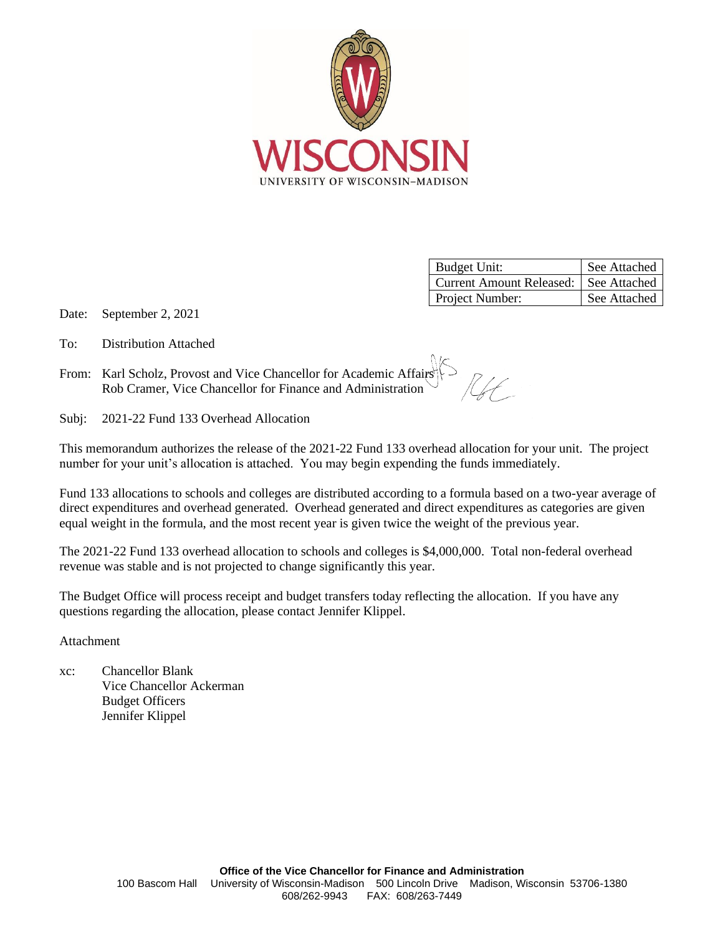

| <b>Budget Unit:</b>                     | See Attached |
|-----------------------------------------|--------------|
| Current Amount Released:   See Attached |              |
| Project Number:                         | See Attached |

Date: September 2, 2021

- To: Distribution Attached
- From: Karl Scholz, Provost and Vice Chancellor for Academic Affairs Rob Cramer, Vice Chancellor for Finance and Administration

Subj: 2021-22 Fund 133 Overhead Allocation

This memorandum authorizes the release of the 2021-22 Fund 133 overhead allocation for your unit. The project number for your unit's allocation is attached. You may begin expending the funds immediately.

Fund 133 allocations to schools and colleges are distributed according to a formula based on a two-year average of direct expenditures and overhead generated. Overhead generated and direct expenditures as categories are given equal weight in the formula, and the most recent year is given twice the weight of the previous year.

The 2021-22 Fund 133 overhead allocation to schools and colleges is \$4,000,000. Total non-federal overhead revenue was stable and is not projected to change significantly this year.

The Budget Office will process receipt and budget transfers today reflecting the allocation. If you have any questions regarding the allocation, please contact Jennifer Klippel.

Attachment

xc: Chancellor Blank Vice Chancellor Ackerman Budget Officers Jennifer Klippel